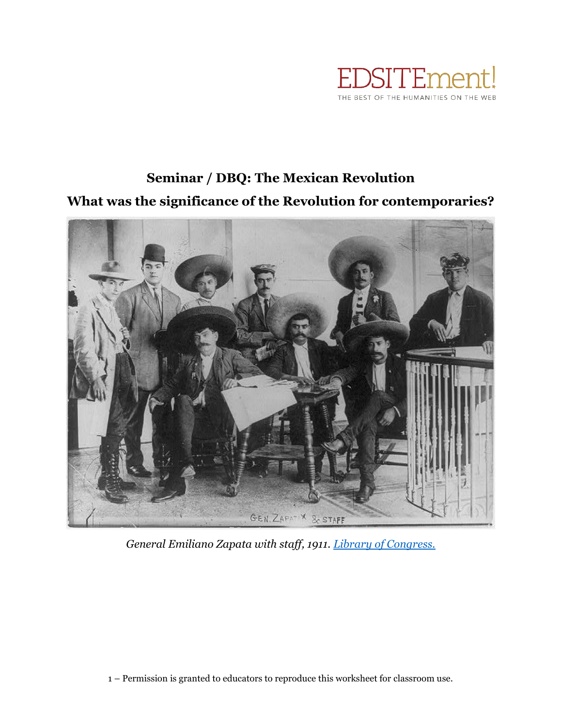

# **Seminar / DBQ: The Mexican Revolution**

## **What was the significance of the Revolution for contemporaries?**



*General Emiliano Zapata with staff, 1911. [Library of Congress.](https://www.loc.gov/resource/cph.3b20755/)*

1 – Permission is granted to educators to reproduce this worksheet for classroom use.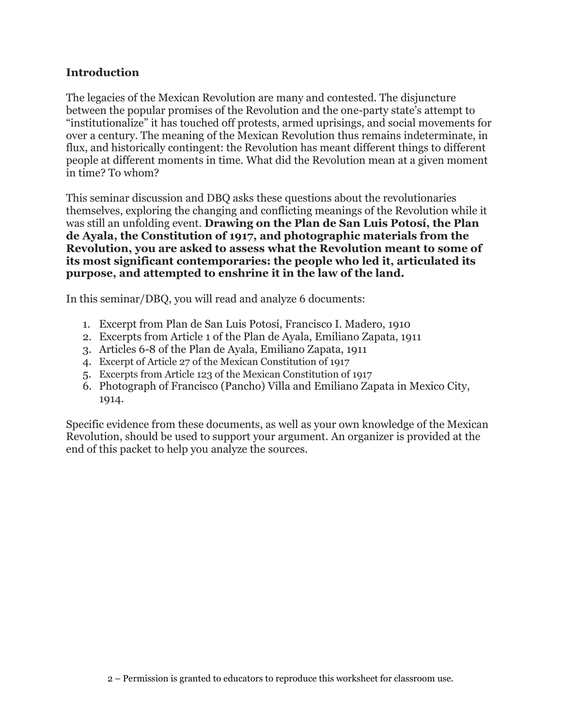#### **Introduction**

The legacies of the Mexican Revolution are many and contested. The disjuncture between the popular promises of the Revolution and the one-party state's attempt to "institutionalize" it has touched off protests, armed uprisings, and social movements for over a century. The meaning of the Mexican Revolution thus remains indeterminate, in flux, and historically contingent: the Revolution has meant different things to different people at different moments in time. What did the Revolution mean at a given moment in time? To whom?

This seminar discussion and DBQ asks these questions about the revolutionaries themselves, exploring the changing and conflicting meanings of the Revolution while it was still an unfolding event. **Drawing on the Plan de San Luis Potosí, the Plan de Ayala, the Constitution of 1917, and photographic materials from the Revolution, you are asked to assess what the Revolution meant to some of its most significant contemporaries: the people who led it, articulated its purpose, and attempted to enshrine it in the law of the land.**

In this seminar/DBQ, you will read and analyze 6 documents:

- 1. Excerpt from Plan de San Luis Potosí, Francisco I. Madero, 1910
- 2. Excerpts from Article 1 of the Plan de Ayala, Emiliano Zapata, 1911
- 3. Articles 6-8 of the Plan de Ayala, Emiliano Zapata, 1911
- 4. Excerpt of Article 27 of the Mexican Constitution of 1917
- 5. Excerpts from Article 123 of the Mexican Constitution of 1917
- 6. Photograph of Francisco (Pancho) Villa and Emiliano Zapata in Mexico City, 1914.

Specific evidence from these documents, as well as your own knowledge of the Mexican Revolution, should be used to support your argument. An organizer is provided at the end of this packet to help you analyze the sources.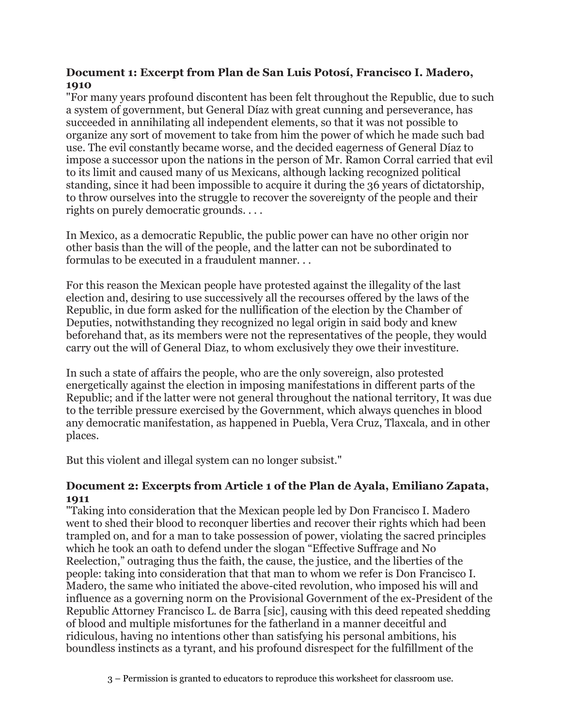#### **Document 1: Excerpt from Plan de San Luis Potosí, Francisco I. Madero, 1910**

"For many years profound discontent has been felt throughout the Republic, due to such a system of government, but General Díaz with great cunning and perseverance, has succeeded in annihilating all independent elements, so that it was not possible to organize any sort of movement to take from him the power of which he made such bad use. The evil constantly became worse, and the decided eagerness of General Díaz to impose a successor upon the nations in the person of Mr. Ramon Corral carried that evil to its limit and caused many of us Mexicans, although lacking recognized political standing, since it had been impossible to acquire it during the 36 years of dictatorship, to throw ourselves into the struggle to recover the sovereignty of the people and their rights on purely democratic grounds. . . .

In Mexico, as a democratic Republic, the public power can have no other origin nor other basis than the will of the people, and the latter can not be subordinated to formulas to be executed in a fraudulent manner. . .

For this reason the Mexican people have protested against the illegality of the last election and, desiring to use successively all the recourses offered by the laws of the Republic, in due form asked for the nullification of the election by the Chamber of Deputies, notwithstanding they recognized no legal origin in said body and knew beforehand that, as its members were not the representatives of the people, they would carry out the will of General Diaz, to whom exclusively they owe their investiture.

In such a state of affairs the people, who are the only sovereign, also protested energetically against the election in imposing manifestations in different parts of the Republic; and if the latter were not general throughout the national territory, It was due to the terrible pressure exercised by the Government, which always quenches in blood any democratic manifestation, as happened in Puebla, Vera Cruz, Tlaxcala, and in other places.

But this violent and illegal system can no longer subsist."

#### **Document 2: Excerpts from Article 1 of the Plan de Ayala, Emiliano Zapata, 1911**

"Taking into consideration that the Mexican people led by Don Francisco I. Madero went to shed their blood to reconquer liberties and recover their rights which had been trampled on, and for a man to take possession of power, violating the sacred principles which he took an oath to defend under the slogan "Effective Suffrage and No Reelection," outraging thus the faith, the cause, the justice, and the liberties of the people: taking into consideration that that man to whom we refer is Don Francisco I. Madero, the same who initiated the above-cited revolution, who imposed his will and influence as a governing norm on the Provisional Government of the ex-President of the Republic Attorney Francisco L. de Barra [sic], causing with this deed repeated shedding of blood and multiple misfortunes for the fatherland in a manner deceitful and ridiculous, having no intentions other than satisfying his personal ambitions, his boundless instincts as a tyrant, and his profound disrespect for the fulfillment of the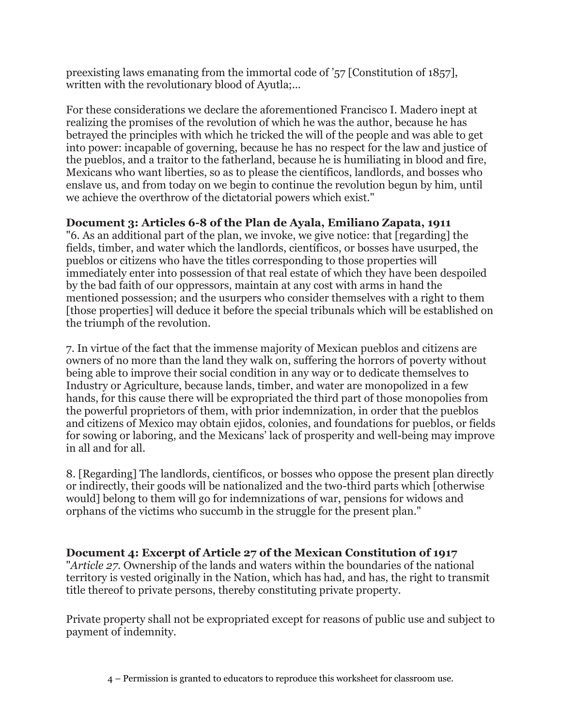preexisting laws emanating from the immortal code of '57 [Constitution of 1857], written with the revolutionary blood of Ayutla;...

For these considerations we declare the aforementioned Francisco I. Madero inept at realizing the promises of the revolution of which he was the author, because he has betrayed the principles with which he tricked the will of the people and was able to get into power: incapable of governing, because he has no respect for the law and justice of the pueblos, and a traitor to the fatherland, because he is humiliating in blood and fire, Mexicans who want liberties, so as to please the científicos, landlords, and bosses who enslave us, and from today on we begin to continue the revolution begun by him, until we achieve the overthrow of the dictatorial powers which exist."

### **Document 3: Articles 6-8 of the Plan de Ayala, Emiliano Zapata, 1911**

"6. As an additional part of the plan, we invoke, we give notice: that [regarding] the fields, timber, and water which the landlords, científicos, or bosses have usurped, the pueblos or citizens who have the titles corresponding to those properties will immediately enter into possession of that real estate of which they have been despoiled by the bad faith of our oppressors, maintain at any cost with arms in hand the mentioned possession; and the usurpers who consider themselves with a right to them [those properties] will deduce it before the special tribunals which will be established on the triumph of the revolution.

7. In virtue of the fact that the immense majority of Mexican pueblos and citizens are owners of no more than the land they walk on, suffering the horrors of poverty without being able to improve their social condition in any way or to dedicate themselves to Industry or Agriculture, because lands, timber, and water are monopolized in a few hands, for this cause there will be expropriated the third part of those monopolies from the powerful proprietors of them, with prior indemnization, in order that the pueblos and citizens of Mexico may obtain ejidos, colonies, and foundations for pueblos, or fields for sowing or laboring, and the Mexicans' lack of prosperity and well-being may improve in all and for all.

8. [Regarding] The landlords, científicos, or bosses who oppose the present plan directly or indirectly, their goods will be nationalized and the two-third parts which [otherwise would] belong to them will go for indemnizations of war, pensions for widows and orphans of the victims who succumb in the struggle for the present plan."

## **Document 4: Excerpt of Article 27 of the Mexican Constitution of 1917**

"*Article 27*. Ownership of the lands and waters within the boundaries of the national territory is vested originally in the Nation, which has had, and has, the right to transmit title thereof to private persons, thereby constituting private property.

Private property shall not be expropriated except for reasons of public use and subject to payment of indemnity.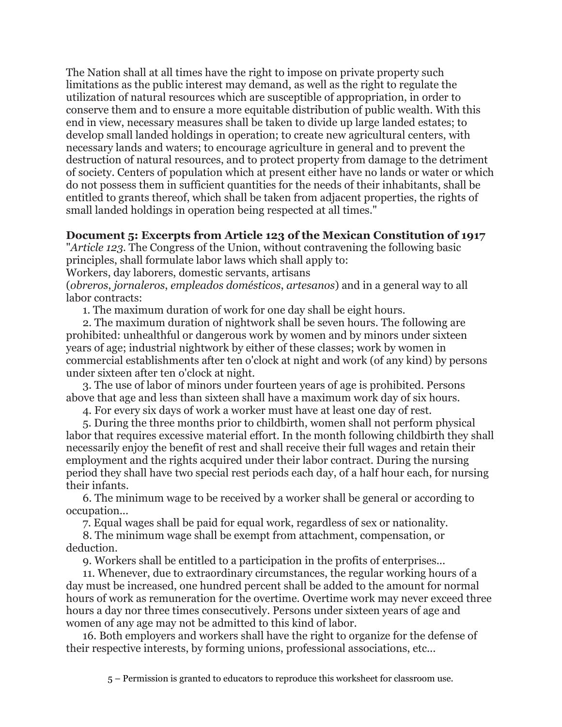The Nation shall at all times have the right to impose on private property such limitations as the public interest may demand, as well as the right to regulate the utilization of natural resources which are susceptible of appropriation, in order to conserve them and to ensure a more equitable distribution of public wealth. With this end in view, necessary measures shall be taken to divide up large landed estates; to develop small landed holdings in operation; to create new agricultural centers, with necessary lands and waters; to encourage agriculture in general and to prevent the destruction of natural resources, and to protect property from damage to the detriment of society. Centers of population which at present either have no lands or water or which do not possess them in sufficient quantities for the needs of their inhabitants, shall be entitled to grants thereof, which shall be taken from adjacent properties, the rights of small landed holdings in operation being respected at all times."

#### **Document 5: Excerpts from Article 123 of the Mexican Constitution of 1917**

"*Article 123.* The Congress of the Union, without contravening the following basic principles, shall formulate labor laws which shall apply to:

Workers, day laborers, domestic servants, artisans

(*obreros*, *jornaleros*, *empleados domésticos*, *artesanos*) and in a general way to all labor contracts:

1. The maximum duration of work for one day shall be eight hours.

2. The maximum duration of nightwork shall be seven hours. The following are prohibited: unhealthful or dangerous work by women and by minors under sixteen years of age; industrial nightwork by either of these classes; work by women in commercial establishments after ten o'clock at night and work (of any kind) by persons under sixteen after ten o'clock at night.

3. The use of labor of minors under fourteen years of age is prohibited. Persons above that age and less than sixteen shall have a maximum work day of six hours.

4. For every six days of work a worker must have at least one day of rest.

5. During the three months prior to childbirth, women shall not perform physical labor that requires excessive material effort. In the month following childbirth they shall necessarily enjoy the benefit of rest and shall receive their full wages and retain their employment and the rights acquired under their labor contract. During the nursing period they shall have two special rest periods each day, of a half hour each, for nursing their infants.

6. The minimum wage to be received by a worker shall be general or according to occupation...

7. Equal wages shall be paid for equal work, regardless of sex or nationality.

8. The minimum wage shall be exempt from attachment, compensation, or deduction.

9. Workers shall be entitled to a participation in the profits of enterprises...

11. Whenever, due to extraordinary circumstances, the regular working hours of a day must be increased, one hundred percent shall be added to the amount for normal hours of work as remuneration for the overtime. Overtime work may never exceed three hours a day nor three times consecutively. Persons under sixteen years of age and women of any age may not be admitted to this kind of labor.

16. Both employers and workers shall have the right to organize for the defense of their respective interests, by forming unions, professional associations, etc...

<sup>5</sup> – Permission is granted to educators to reproduce this worksheet for classroom use.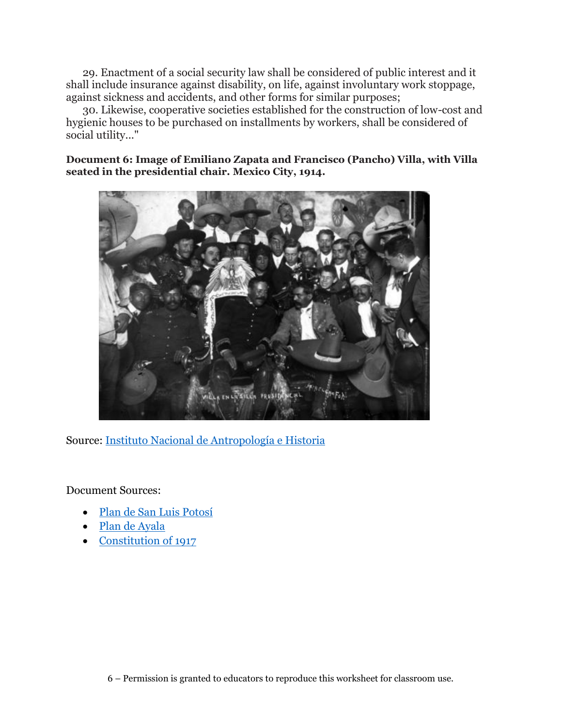29. Enactment of a social security law shall be considered of public interest and it shall include insurance against disability, on life, against involuntary work stoppage, against sickness and accidents, and other forms for similar purposes;

30. Likewise, cooperative societies established for the construction of low-cost and hygienic houses to be purchased on installments by workers, shall be considered of social utility..."

**Document 6: Image of Emiliano Zapata and Francisco (Pancho) Villa, with Villa seated in the presidential chair. Mexico City, 1914.**



Source: [Instituto Nacional de Antropología e Historia](https://mediateca.inah.gob.mx/repositorio/islandora/object/fotografia:452846)

Document Sources:

- [Plan de San Luis Potosí](https://library.brown.edu/create/modernlatinamerica/chapters/chapter-3-mexico/primary-documents-with-accompanying-discussion-questions/document-4-plan-de-san-luis-de-potosi-francisco-madero-1910/)
- [Plan de Ayala](https://library.brown.edu/create/modernlatinamerica/chapters/chapter-3-mexico/primary-documents-with-accompanying-discussion-questions/document-6-plan-de-ayala-emilio-zapata-1911/)
- [Constitution of 1917](https://edsitement.neh.gov/lesson-plans/inside.sfuhs.org/dept/history/Mexicoreader/Chapter5/1917constart27.htm)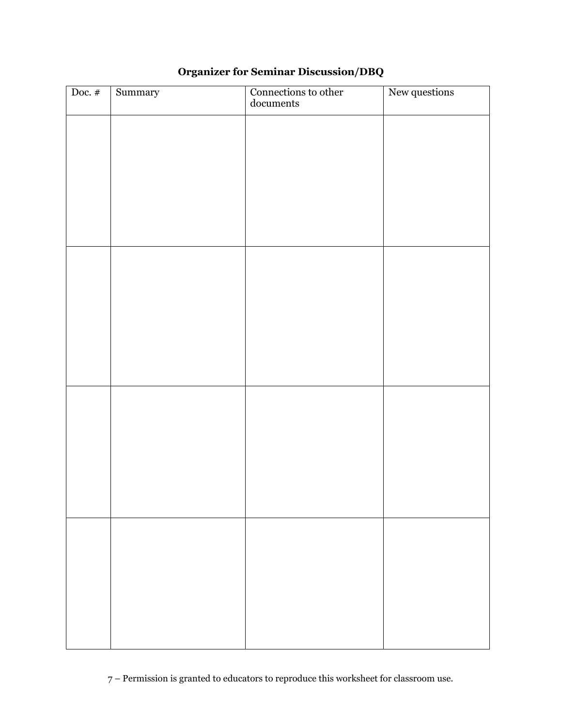| Doc. $#$ | Summary | Connections to other<br>documents | New questions |
|----------|---------|-----------------------------------|---------------|
|          |         |                                   |               |
|          |         |                                   |               |
|          |         |                                   |               |
|          |         |                                   |               |
|          |         |                                   |               |
|          |         |                                   |               |
|          |         |                                   |               |
|          |         |                                   |               |
|          |         |                                   |               |
|          |         |                                   |               |
|          |         |                                   |               |
|          |         |                                   |               |
|          |         |                                   |               |
|          |         |                                   |               |
|          |         |                                   |               |

## **Organizer for Seminar Discussion/DBQ**

7 – Permission is granted to educators to reproduce this worksheet for classroom use.